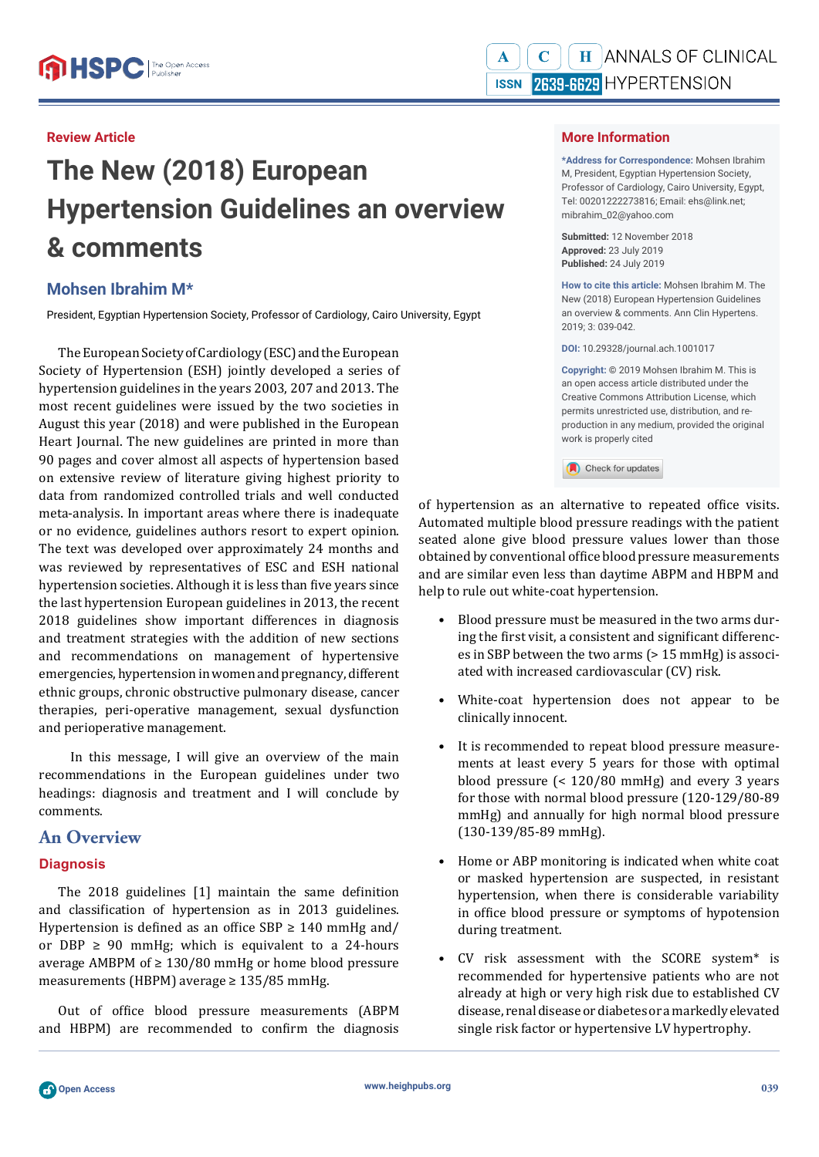## **Review Article**

# **The New (2018) European Hypertension Guidelines an overview & comments**

## **Mohsen Ibrahim M\***

President, Egyptian Hypertension Society, Professor of Cardiology, Cairo University, Egypt

The European Society of Cardiology (ESC) and the European Society of Hypertension (ESH) jointly developed a series of hypertension guidelines in the years 2003, 207 and 2013. The most recent guidelines were issued by the two societies in August this year (2018) and were published in the European Heart Journal. The new guidelines are printed in more than 90 pages and cover almost all aspects of hypertension based on extensive review of literature giving highest priority to data from randomized controlled trials and well conducted meta-analysis. In important areas where there is inadequate or no evidence, guidelines authors resort to expert opinion. The text was developed over approximately 24 months and was reviewed by representatives of ESC and ESH national hypertension societies. Although it is less than five years since the last hypertension European guidelines in 2013, the recent 2018 guidelines show important differences in diagnosis and treatment strategies with the addition of new sections and recommendations on management of hypertensive emergencies, hypertension in women and pregnancy, different ethnic groups, chronic obstructive pulmonary disease, cancer therapies, peri-operative management, sexual dysfunction and perioperative management.

 In this message, I will give an overview of the main recommendations in the European guidelines under two headings: diagnosis and treatment and I will conclude by comments.

## **An Overview**

#### **Diagnosis**

The  $2018$  guidelines  $[1]$  maintain the same definition and classification of hypertension as in 2013 guidelines. Hypertension is defined as an office SBP  $\geq$  140 mmHg and/ or DBP  $\geq$  90 mmHg; which is equivalent to a 24-hours average AMBPM of  $\geq$  130/80 mmHg or home blood pressure measurements (HBPM) average ≥ 135/85 mmHg.

Out of office blood pressure measurements (ABPM and HBPM) are recommended to confirm the diagnosis

#### **More Information**

**\*Address for Correspondence:** Mohsen Ibrahim M, President, Egyptian Hypertension Society, Professor of Cardiology, Cairo University, Egypt, Tel: 00201222273816; Email: ehs@link.net; mibrahim\_02@yahoo.com

**Submitted:** 12 November 2018 **Approved:** 23 July 2019 **Published:** 24 July 2019

**How to cite this article:** Mohsen Ibrahim M. The New (2018) European Hypertension Guidelines an overview & comments. Ann Clin Hypertens. 2019; 3: 039-042.

**DOI:** 10.29328/journal.ach.1001017

**Copyright: ©** 2019 Mohsen Ibrahim M. This is an open access article distributed under the Creative Commons Attribution License, which permits unrestricted use, distribution, and reproduction in any medium, provided the original work is properly cited

Check for updates

of hypertension as an alternative to repeated office visits. Automated multiple blood pressure readings with the patient seated alone give blood pressure values lower than those obtained by conventional office blood pressure measurements and are similar even less than daytime ABPM and HBPM and help to rule out white-coat hypertension.

- Blood pressure must be measured in the two arms during the first visit, a consistent and significant differences in SBP between the two arms (> 15 mmHg) is associated with increased cardiovascular (CV) risk.
- White-coat hypertension does not appear to be clinically innocent.
- It is recommended to repeat blood pressure measurements at least every 5 years for those with optimal blood pressure (< 120/80 mmHg) and every 3 years for those with normal blood pressure (120-129/80-89 mmHg) and annually for high normal blood pressure (130-139/85-89 mmHg).
- Home or ABP monitoring is indicated when white coat or masked hypertension are suspected, in resistant hypertension, when there is considerable variability in office blood pressure or symptoms of hypotension during treatment.
- CV risk assessment with the SCORE system\* is recommended for hypertensive patients who are not already at high or very high risk due to established CV disease, renal disease or diabetes or a markedly elevated single risk factor or hypertensive LV hypertrophy.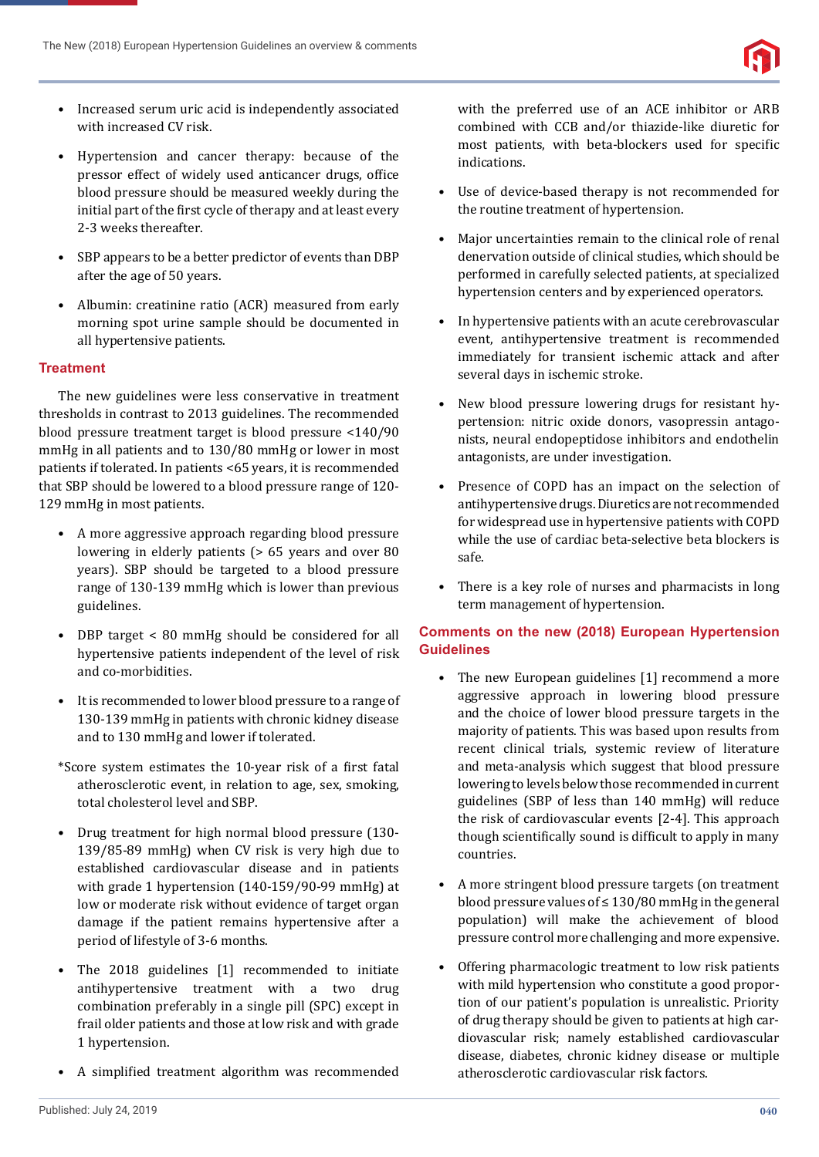

- Increased serum uric acid is independently associated with increased CV risk.
- Hypertension and cancer therapy: because of the pressor effect of widely used anticancer drugs, office blood pressure should be measured weekly during the initial part of the first cycle of therapy and at least every 2-3 weeks thereafter.
- SBP appears to be a better predictor of events than DBP after the age of 50 years.
- Albumin: creatinine ratio (ACR) measured from early morning spot urine sample should be documented in all hypertensive patients.

### **Treatment**

The new guidelines were less conservative in treatment thresholds in contrast to 2013 guidelines. The recommended blood pressure treatment target is blood pressure <140/90 mmHg in all patients and to 130/80 mmHg or lower in most patients if tolerated. In patients <65 years, it is recommended that SBP should be lowered to a blood pressure range of 120- 129 mmHg in most patients.

- A more aggressive approach regarding blood pressure lowering in elderly patients (> 65 years and over 80 years). SBP should be targeted to a blood pressure range of 130-139 mmHg which is lower than previous guidelines.
- DBP target < 80 mmHg should be considered for all hypertensive patients independent of the level of risk and co-morbidities.
- It is recommended to lower blood pressure to a range of 130-139 mmHg in patients with chronic kidney disease and to 130 mmHg and lower if tolerated.
- \*Score system estimates the 10-year risk of a ϐirst fatal atherosclerotic event, in relation to age, sex, smoking, total cholesterol level and SBP.
- Drug treatment for high normal blood pressure (130- 139/85-89 mmHg) when CV risk is very high due to established cardiovascular disease and in patients with grade 1 hypertension (140-159/90-99 mmHg) at low or moderate risk without evidence of target organ damage if the patient remains hypertensive after a period of lifestyle of 3-6 months.
- The 2018 guidelines [1] recommended to initiate antihypertensive treatment with a two drug combination preferably in a single pill (SPC) except in frail older patients and those at low risk and with grade 1 hypertension.
- A simplified treatment algorithm was recommended

with the preferred use of an ACE inhibitor or ARB combined with CCB and/or thiazide-like diuretic for most patients, with beta-blockers used for specific indications.

- Use of device-based therapy is not recommended for the routine treatment of hypertension.
- Major uncertainties remain to the clinical role of renal denervation outside of clinical studies, which should be performed in carefully selected patients, at specialized hypertension centers and by experienced operators.
- In hypertensive patients with an acute cerebrovascular event, antihypertensive treatment is recommended immediately for transient ischemic attack and after several days in ischemic stroke.
- New blood pressure lowering drugs for resistant hypertension: nitric oxide donors, vasopressin antagonists, neural endopeptidose inhibitors and endothelin antagonists, are under investigation.
- Presence of COPD has an impact on the selection of antihypertensive drugs. Diuretics are not recommended for widespread use in hypertensive patients with COPD while the use of cardiac beta-selective beta blockers is safe.
- There is a key role of nurses and pharmacists in long term management of hypertension.

## **Comments on the new (2018) European Hypertension Guidelines**

- The new European guidelines [1] recommend a more aggressive approach in lowering blood pressure and the choice of lower blood pressure targets in the majority of patients. This was based upon results from recent clinical trials, systemic review of literature and meta-analysis which suggest that blood pressure lowering to levels below those recommended in current guidelines (SBP of less than 140 mmHg) will reduce the risk of cardiovascular events [2-4]. This approach though scientifically sound is difficult to apply in many countries.
- A more stringent blood pressure targets (on treatment blood pressure values of  $\leq$  130/80 mmHg in the general population) will make the achievement of blood pressure control more challenging and more expensive.
- Offering pharmacologic treatment to low risk patients with mild hypertension who constitute a good proportion of our patient's population is unrealistic. Priority of drug therapy should be given to patients at high cardiovascular risk; namely established cardiovascular disease, diabetes, chronic kidney disease or multiple atherosclerotic cardiovascular risk factors.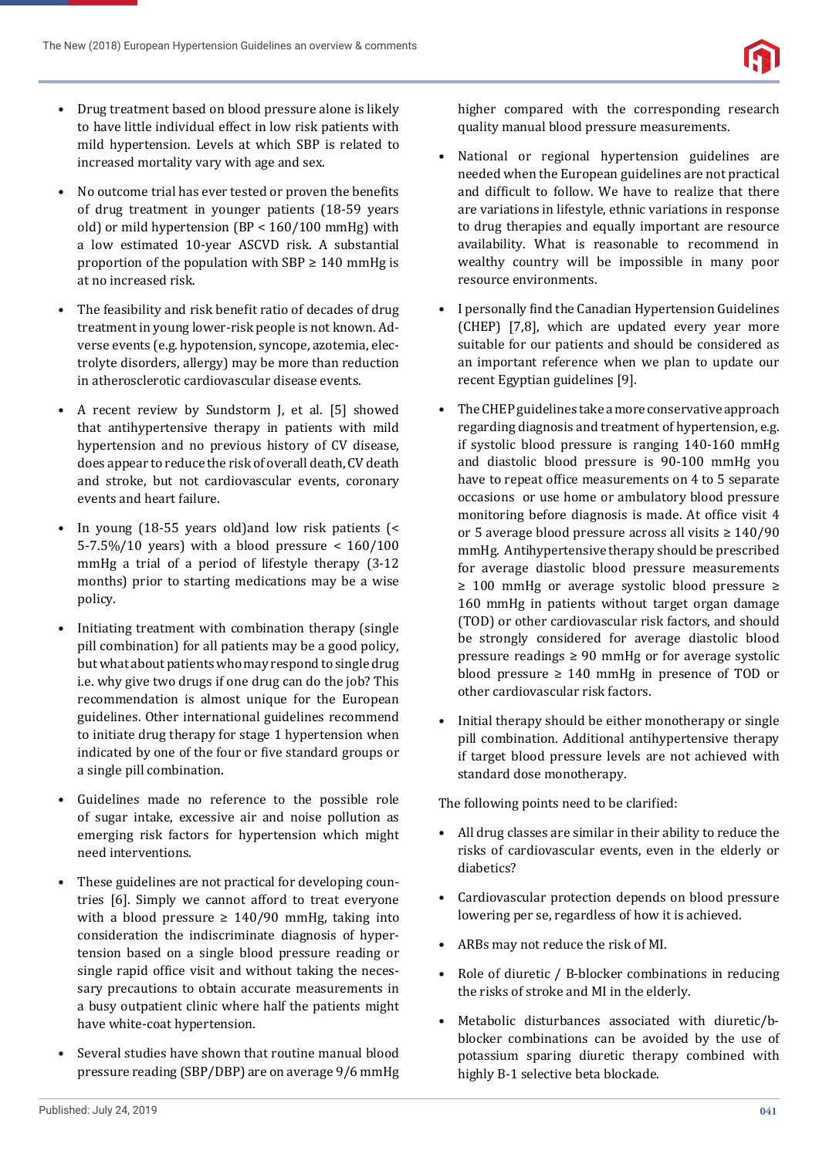- Drug treatment based on blood pressure alone is likely to have little individual effect in low risk patients with mild hypertension. Levels at which SBP is related to increased mortality vary with age and sex.
- No outcome trial has ever tested or proven the benefits of drug treatment in younger patients (18-59 years old) or mild hypertension (BP < 160/100 mmHg) with a low estimated 10-year ASCVD risk. A substantial proportion of the population with SBP  $\geq 140$  mmHg is at no increased risk.
- The feasibility and risk benefit ratio of decades of drug treatment in young lower-risk people is not known. Adverse events (e.g. hypotension, syncope, azotemia, electrolyte disorders, allergy) may be more than reduction in atherosclerotic cardiovascular disease events.
- A recent review by Sundstorm J, et al. [5] showed that antihypertensive therapy in patients with mild hypertension and no previous history of CV disease, does appear to reduce the risk of overall death, CV death and stroke, but not cardiovascular events, coronary events and heart failure.
- In young (18-55 years old)and low risk patients (< 5-7.5%/10 years) with a blood pressure < 160/100 mmHg a trial of a period of lifestyle therapy (3-12 months) prior to starting medications may be a wise policy.
- Initiating treatment with combination therapy (single pill combination) for all patients may be a good policy, but what about patients who may respond to single drug i.e. why give two drugs if one drug can do the job? This recommendation is almost unique for the European guidelines. Other international guidelines recommend to initiate drug therapy for stage 1 hypertension when indicated by one of the four or five standard groups or a single pill combination.
- Guidelines made no reference to the possible role of sugar intake, excessive air and noise pollution as emerging risk factors for hypertension which might need interventions.
- These guidelines are not practical for developing countries [6]. Simply we cannot afford to treat everyone with a blood pressure  $\geq 140/90$  mmHg, taking into consideration the indiscriminate diagnosis of hypertension based on a single blood pressure reading or single rapid office visit and without taking the necessary precautions to obtain accurate measurements in a busy outpatient clinic where half the patients might have white-coat hypertension.
- Several studies have shown that routine manual blood pressure reading (SBP/DBP) are on average 9/6 mmHg

higher compared with the corresponding research quality manual blood pressure measurements.

- National or regional hypertension guidelines are needed when the European guidelines are not practical and difficult to follow. We have to realize that there are variations in lifestyle, ethnic variations in response to drug therapies and equally important are resource availability. What is reasonable to recommend in wealthy country will be impossible in many poor resource environments.
- I personally find the Canadian Hypertension Guidelines (CHEP) [7,8], which are updated every year more suitable for our patients and should be considered as an important reference when we plan to update our recent Egyptian guidelines [9].
- The CHEP guidelines take a more conservative approach regarding diagnosis and treatment of hypertension, e.g. if systolic blood pressure is ranging 140-160 mmHg and diastolic blood pressure is 90-100 mmHg you have to repeat office measurements on 4 to 5 separate occasions or use home or ambulatory blood pressure monitoring before diagnosis is made. At office visit 4 or 5 average blood pressure across all visits ≥ 140/90 mmHg. Antihypertensive therapy should be prescribed for average diastolic blood pressure measurements ≥ 100 mmHg or average systolic blood pressure ≥ 160 mmHg in patients without target organ damage (TOD) or other cardiovascular risk factors, and should be strongly considered for average diastolic blood pressure readings  $\geq 90$  mmHg or for average systolic blood pressure  $\geq 140$  mmHg in presence of TOD or other cardiovascular risk factors.
- Initial therapy should be either monotherapy or single pill combination. Additional antihypertensive therapy if target blood pressure levels are not achieved with standard dose monotherapy.

The following points need to be clarified:

- All drug classes are similar in their ability to reduce the risks of cardiovascular events, even in the elderly or diabetics?
- Cardiovascular protection depends on blood pressure lowering per se, regardless of how it is achieved.
- ARBs may not reduce the risk of MI.
- Role of diuretic / B-blocker combinations in reducing the risks of stroke and MI in the elderly.
- Metabolic disturbances associated with diuretic/bblocker combinations can be avoided by the use of potassium sparing diuretic therapy combined with highly B-1 selective beta blockade.